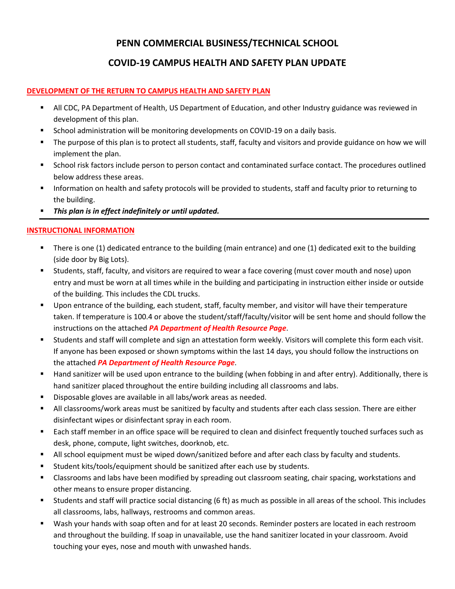### **PENN COMMERCIAL BUSINESS/TECHNICAL SCHOOL**

#### **COVID-19 CAMPUS HEALTH AND SAFETY PLAN UPDATE**

#### **DEVELOPMENT OF THE RETURN TO CAMPUS HEALTH AND SAFETY PLAN**

- All CDC, PA Department of Health, US Department of Education, and other Industry guidance was reviewed in development of this plan.
- **School administration will be monitoring developments on COVID-19 on a daily basis.**
- The purpose of this plan is to protect all students, staff, faculty and visitors and provide guidance on how we will implement the plan.
- School risk factors include person to person contact and contaminated surface contact. The procedures outlined below address these areas.
- Information on health and safety protocols will be provided to students, staff and faculty prior to returning to the building.
- *This plan is in effect indefinitely or until updated.*

#### **INSTRUCTIONAL INFORMATION**

- There is one (1) dedicated entrance to the building (main entrance) and one (1) dedicated exit to the building (side door by Big Lots).
- Students, staff, faculty, and visitors are required to wear a face covering (must cover mouth and nose) upon entry and must be worn at all times while in the building and participating in instruction either inside or outside of the building. This includes the CDL trucks.
- Upon entrance of the building, each student, staff, faculty member, and visitor will have their temperature taken. If temperature is 100.4 or above the student/staff/faculty/visitor will be sent home and should follow the instructions on the attached *PA Department of Health Resource Page*.
- Students and staff will complete and sign an attestation form weekly. Visitors will complete this form each visit. If anyone has been exposed or shown symptoms within the last 14 days, you should follow the instructions on the attached *PA Department of Health Resource Page*.
- Hand sanitizer will be used upon entrance to the building (when fobbing in and after entry). Additionally, there is hand sanitizer placed throughout the entire building including all classrooms and labs.
- **Disposable gloves are available in all labs/work areas as needed.**
- All classrooms/work areas must be sanitized by faculty and students after each class session. There are either disinfectant wipes or disinfectant spray in each room.
- Each staff member in an office space will be required to clean and disinfect frequently touched surfaces such as desk, phone, compute, light switches, doorknob, etc.
- All school equipment must be wiped down/sanitized before and after each class by faculty and students.
- Student kits/tools/equipment should be sanitized after each use by students.
- Classrooms and labs have been modified by spreading out classroom seating, chair spacing, workstations and other means to ensure proper distancing.
- Students and staff will practice social distancing (6 ft) as much as possible in all areas of the school. This includes all classrooms, labs, hallways, restrooms and common areas.
- Wash your hands with soap often and for at least 20 seconds. Reminder posters are located in each restroom and throughout the building. If soap in unavailable, use the hand sanitizer located in your classroom. Avoid touching your eyes, nose and mouth with unwashed hands.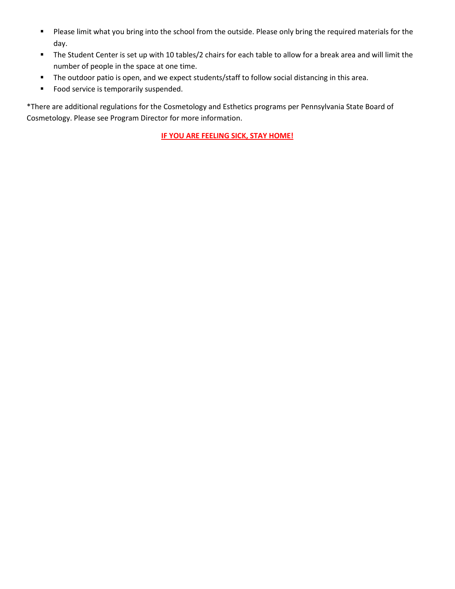- Please limit what you bring into the school from the outside. Please only bring the required materials for the day.
- The Student Center is set up with 10 tables/2 chairs for each table to allow for a break area and will limit the number of people in the space at one time.
- The outdoor patio is open, and we expect students/staff to follow social distancing in this area.
- **Food service is temporarily suspended.**

\*There are additional regulations for the Cosmetology and Esthetics programs per Pennsylvania State Board of Cosmetology. Please see Program Director for more information.

**IF YOU ARE FEELING SICK, STAY HOME!**